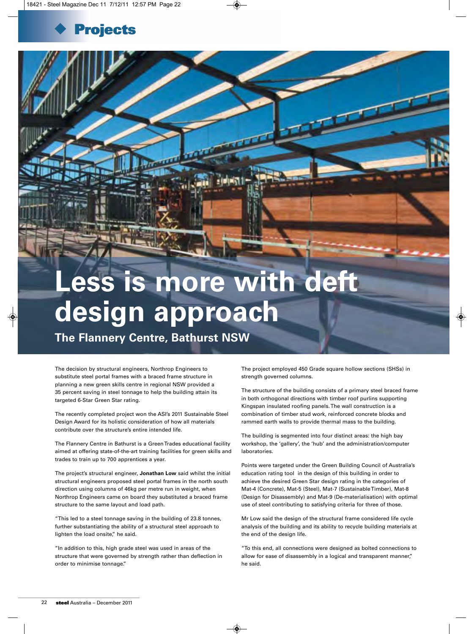

## **Less is more with deft design approach**

**The Flannery Centre, Bathurst NSW**

The decision by structural engineers, Northrop Engineers to substitute steel portal frames with a braced frame structure in planning a new green skills centre in regional NSW provided a 35 percent saving in steel tonnage to help the building attain its targeted 6-Star Green Star rating.

The recently completed project won the ASI's 2011 Sustainable Steel Design Award for its holistic consideration of how all materials contribute over the structure's entire intended life.

The Flannery Centre in Bathurst is a Green Trades educational facility aimed at offering state-of-the-art training facilities for green skills and trades to train up to 700 apprentices a year.

The project's structural engineer, **Jonathan Low** said whilst the initial structural engineers proposed steel portal frames in the north south direction using columns of 46kg per metre run in weight, when Northrop Engineers came on board they substituted a braced frame structure to the same layout and load path.

"This led to a steel tonnage saving in the building of 23.8 tonnes, further substantiating the ability of a structural steel approach to lighten the load onsite," he said.

"In addition to this, high grade steel was used in areas of the structure that were governed by strength rather than deflection in order to minimise tonnage."

The project employed 450 Grade square hollow sections (SHSs) in strength governed columns.

The structure of the building consists of a primary steel braced frame in both orthogonal directions with timber roof purlins supporting Kingspan insulated roofing panels. The wall construction is a combination of timber stud work, reinforced concrete blocks and rammed earth walls to provide thermal mass to the building.

The building is segmented into four distinct areas: the high bay workshop, the 'gallery', the 'hub' and the administration/computer laboratories.

Points were targeted under the Green Building Council of Australia's education rating tool in the design of this building in order to achieve the desired Green Star design rating in the categories of Mat-4 (Concrete), Mat-5 (Steel), Mat-7 (Sustainable Timber), Mat-8 (Design for Disassembly) and Mat-9 (De-materialisation) with optimal use of steel contributing to satisfying criteria for three of those.

Mr Low said the design of the structural frame considered life cycle analysis of the building and its ability to recycle building materials at the end of the design life.

"To this end, all connections were designed as bolted connections to allow for ease of disassembly in a logical and transparent manner," he said.